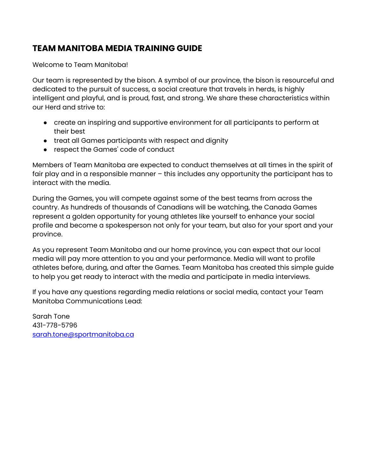# **TEAM MANITOBA MEDIA TRAINING GUIDE**

Welcome to Team Manitoba!

Our team is represented by the bison. A symbol of our province, the bison is resourceful and dedicated to the pursuit of success, a social creature that travels in herds, is highly intelligent and playful, and is proud, fast, and strong. We share these characteristics within our Herd and strive to:

- create an inspiring and supportive environment for all participants to perform at their best
- treat all Games participants with respect and dignity
- respect the Games' code of conduct

Members of Team Manitoba are expected to conduct themselves at all times in the spirit of fair play and in a responsible manner – this includes any opportunity the participant has to interact with the media.

During the Games, you will compete against some of the best teams from across the country. As hundreds of thousands of Canadians will be watching, the Canada Games represent a golden opportunity for young athletes like yourself to enhance your social profile and become a spokesperson not only for your team, but also for your sport and your province.

As you represent Team Manitoba and our home province, you can expect that our local media will pay more attention to you and your performance. Media will want to profile athletes before, during, and after the Games. Team Manitoba has created this simple guide to help you get ready to interact with the media and participate in media interviews.

If you have any questions regarding media relations or social media, contact your Team Manitoba Communications Lead:

Sarah Tone 431-778-5796 [sarah.tone@sportmanitoba.ca](mailto:sarah.tone@sportmanitoba.ca)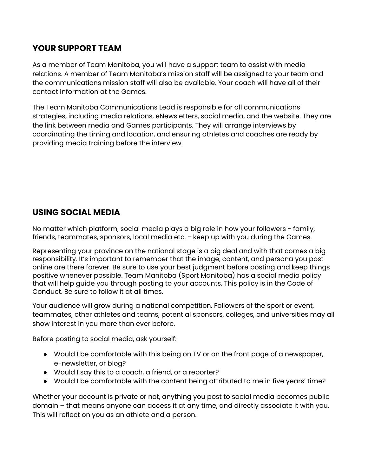# **YOUR SUPPORT TEAM**

As a member of Team Manitoba, you will have a support team to assist with media relations. A member of Team Manitoba's mission staff will be assigned to your team and the communications mission staff will also be available. Your coach will have all of their contact information at the Games.

The Team Manitoba Communications Lead is responsible for all communications strategies, including media relations, eNewsletters, social media, and the website. They are the link between media and Games participants. They will arrange interviews by coordinating the timing and location, and ensuring athletes and coaches are ready by providing media training before the interview.

# **USING SOCIAL MEDIA**

No matter which platform, social media plays a big role in how your followers - family, friends, teammates, sponsors, local media etc. - keep up with you during the Games.

Representing your province on the national stage is a big deal and with that comes a big responsibility. It's important to remember that the image, content, and persona you post online are there forever. Be sure to use your best judgment before posting and keep things positive whenever possible. Team Manitoba (Sport Manitoba) has a social media policy that will help guide you through posting to your accounts. This policy is in the Code of Conduct. Be sure to follow it at all times.

Your audience will grow during a national competition. Followers of the sport or event, teammates, other athletes and teams, potential sponsors, colleges, and universities may all show interest in you more than ever before.

Before posting to social media, ask yourself:

- Would I be comfortable with this being on TV or on the front page of a newspaper, e-newsletter, or blog?
- Would I say this to a coach, a friend, or a reporter?
- Would I be comfortable with the content being attributed to me in five years' time?

Whether your account is private or not, anything you post to social media becomes public domain – that means anyone can access it at any time, and directly associate it with you. This will reflect on you as an athlete and a person.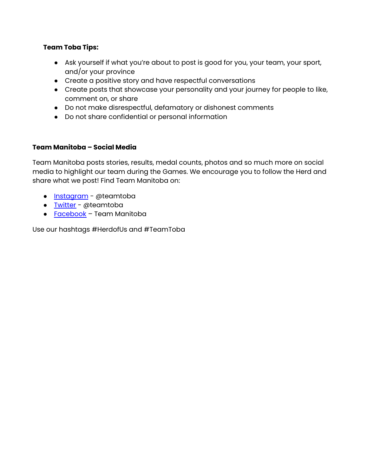### **Team Toba Tips:**

- Ask yourself if what you're about to post is good for you, your team, your sport, and/or your province
- Create a positive story and have respectful conversations
- **●** Create posts that showcase your personality and your journey for people to like, comment on, or share
- Do not make disrespectful, defamatory or dishonest comments
- **●** Do not share confidential or personal information

#### **Team Manitoba – Social Media**

Team Manitoba posts stories, results, medal counts, photos and so much more on social media to highlight our team during the Games. We encourage you to follow the Herd and share what we post! Find Team Manitoba on:

- [Instagram](https://www.instagram.com/TeamToba/) @teamtoba
- [Twitter](https://twitter.com/teamtoba) @teamtoba
- [Facebook](https://www.facebook.com/teammanitoba) Team Manitoba

Use our hashtags #HerdofUs and #TeamToba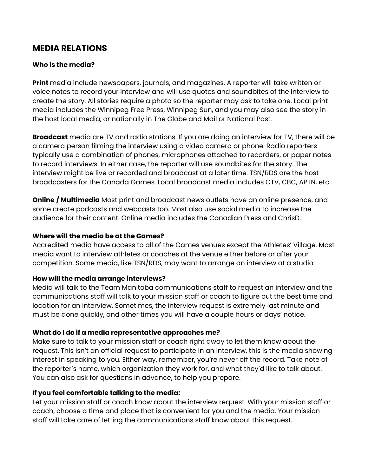## **MEDIA RELATIONS**

## **Who is the media?**

**Print** media include newspapers, journals, and magazines. A reporter will take written or voice notes to record your interview and will use quotes and soundbites of the interview to create the story. All stories require a photo so the reporter may ask to take one. Local print media includes the Winnipeg Free Press, Winnipeg Sun, and you may also see the story in the host local media, or nationally in The Globe and Mail or National Post.

**Broadcast** media are TV and radio stations. If you are doing an interview for TV, there will be a camera person filming the interview using a video camera or phone. Radio reporters typically use a combination of phones, microphones attached to recorders, or paper notes to record interviews. In either case, the reporter will use soundbites for the story. The interview might be live or recorded and broadcast at a later time. TSN/RDS are the host broadcasters for the Canada Games. Local broadcast media includes CTV, CBC, APTN, etc.

**Online / Multimedia** Most print and broadcast news outlets have an online presence, and some create podcasts and webcasts too. Most also use social media to increase the audience for their content. Online media includes the Canadian Press and ChrisD.

#### **Where will the media be at the Games?**

Accredited media have access to all of the Games venues except the Athletes' Village. Most media want to interview athletes or coaches at the venue either before or after your competition. Some media, like TSN/RDS, may want to arrange an interview at a studio.

#### **How will the media arrange interviews?**

Media will talk to the Team Manitoba communications staff to request an interview and the communications staff will talk to your mission staff or coach to figure out the best time and location for an interview. Sometimes, the interview request is extremely last minute and must be done quickly, and other times you will have a couple hours or days' notice.

#### **What do I do if a media representative approaches me?**

Make sure to talk to your mission staff or coach right away to let them know about the request. This isn't an official request to participate in an interview, this is the media showing interest in speaking to you. Either way, remember, you're never off the record. Take note of the reporter's name, which organization they work for, and what they'd like to talk about. You can also ask for questions in advance, to help you prepare.

#### **If you feel comfortable talking to the media:**

Let your mission staff or coach know about the interview request. With your mission staff or coach, choose a time and place that is convenient for you and the media. Your mission staff will take care of letting the communications staff know about this request.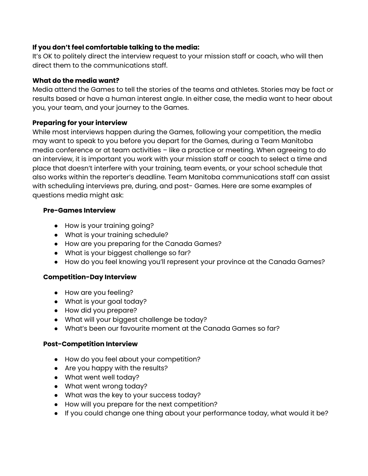## **If you don't feel comfortable talking to the media:**

It's OK to politely direct the interview request to your mission staff or coach, who will then direct them to the communications staff.

#### **What do the media want?**

Media attend the Games to tell the stories of the teams and athletes. Stories may be fact or results based or have a human interest angle. In either case, the media want to hear about you, your team, and your journey to the Games.

## **Preparing for your interview**

While most interviews happen during the Games, following your competition, the media may want to speak to you before you depart for the Games, during a Team Manitoba media conference or at team activities – like a practice or meeting. When agreeing to do an interview, it is important you work with your mission staff or coach to select a time and place that doesn't interfere with your training, team events, or your school schedule that also works within the reporter's deadline. Team Manitoba communications staff can assist with scheduling interviews pre, during, and post- Games. Here are some examples of questions media might ask:

#### **Pre-Games Interview**

- How is your training going?
- What is your training schedule?
- How are you preparing for the Canada Games?
- What is your biggest challenge so far?
- How do you feel knowing you'll represent your province at the Canada Games?

## **Competition-Day Interview**

- How are you feeling?
- What is your goal today?
- How did you prepare?
- What will your biggest challenge be today?
- What's been our favourite moment at the Canada Games so far?

## **Post-Competition Interview**

- How do you feel about your competition?
- Are you happy with the results?
- What went well today?
- What went wrong today?
- What was the key to your success today?
- How will you prepare for the next competition?
- If you could change one thing about your performance today, what would it be?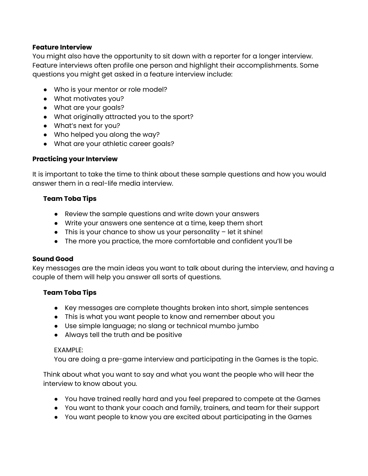#### **Feature Interview**

You might also have the opportunity to sit down with a reporter for a longer interview. Feature interviews often profile one person and highlight their accomplishments. Some questions you might get asked in a feature interview include:

- Who is your mentor or role model?
- What motivates you?
- What are your goals?
- What originally attracted you to the sport?
- What's next for you?
- Who helped you along the way?
- What are your athletic career goals?

#### **Practicing your Interview**

It is important to take the time to think about these sample questions and how you would answer them in a real-life media interview.

#### **Team Toba Tips**

- Review the sample questions and write down your answers
- Write your answers one sentence at a time, keep them short
- $\bullet$  This is your chance to show us your personality  $-$  let it shine!
- The more you practice, the more comfortable and confident you'll be

#### **Sound Good**

Key messages are the main ideas you want to talk about during the interview, and having a couple of them will help you answer all sorts of questions.

#### **Team Toba Tips**

- Key messages are complete thoughts broken into short, simple sentences
- This is what you want people to know and remember about you
- Use simple language; no slang or technical mumbo jumbo
- **●** Always tell the truth and be positive

#### EXAMPLE:

You are doing a pre-game interview and participating in the Games is the topic.

Think about what you want to say and what you want the people who will hear the interview to know about you.

- You have trained really hard and you feel prepared to compete at the Games
- You want to thank your coach and family, trainers, and team for their support
- You want people to know you are excited about participating in the Games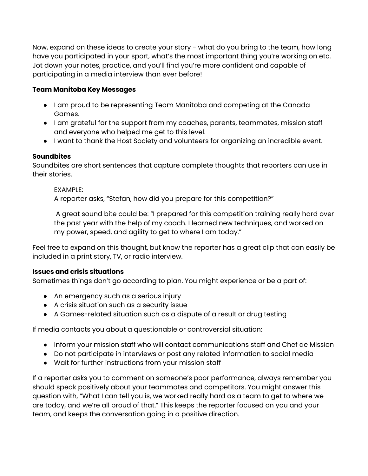Now, expand on these ideas to create your story - what do you bring to the team, how long have you participated in your sport, what's the most important thing you're working on etc. Jot down your notes, practice, and you'll find you're more confident and capable of participating in a media interview than ever before!

### **Team Manitoba Key Messages**

- I am proud to be representing Team Manitoba and competing at the Canada Games.
- I am grateful for the support from my coaches, parents, teammates, mission staff and everyone who helped me get to this level.
- I want to thank the Host Society and volunteers for organizing an incredible event.

## **Soundbites**

Soundbites are short sentences that capture complete thoughts that reporters can use in their stories.

#### EXAMPLE:

A reporter asks, "Stefan, how did you prepare for this competition?"

A great sound bite could be: "I prepared for this competition training really hard over the past year with the help of my coach. I learned new techniques, and worked on my power, speed, and agility to get to where I am today."

Feel free to expand on this thought, but know the reporter has a great clip that can easily be included in a print story, TV, or radio interview.

#### **Issues and crisis situations**

Sometimes things don't go according to plan. You might experience or be a part of:

- An emergency such as a serious injury
- A crisis situation such as a security issue
- A Games-related situation such as a dispute of a result or drug testing

If media contacts you about a questionable or controversial situation:

- Inform your mission staff who will contact communications staff and Chef de Mission
- Do not participate in interviews or post any related information to social media
- Wait for further instructions from your mission staff

If a reporter asks you to comment on someone's poor performance, always remember you should speak positively about your teammates and competitors. You might answer this question with, "What I can tell you is, we worked really hard as a team to get to where we are today, and we're all proud of that." This keeps the reporter focused on you and your team, and keeps the conversation going in a positive direction.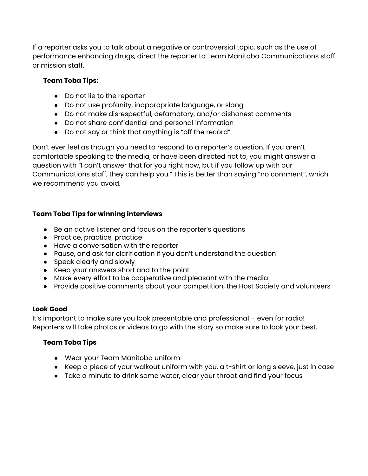If a reporter asks you to talk about a negative or controversial topic, such as the use of performance enhancing drugs, direct the reporter to Team Manitoba Communications staff or mission staff.

## **Team Toba Tips:**

- Do not lie to the reporter
- Do not use profanity, inappropriate language, or slang
- Do not make disrespectful, defamatory, and/or dishonest comments
- Do not share confidential and personal information
- Do not say or think that anything is "off the record"

Don't ever feel as though you need to respond to a reporter's question. If you aren't comfortable speaking to the media, or have been directed not to, you might answer a question with "I can't answer that for you right now, but if you follow up with our Communications staff, they can help you." This is better than saying "no comment", which we recommend you avoid.

## **Team Toba Tips for winning interviews**

- Be an active listener and focus on the reporter's questions
- Practice, practice, practice
- Have a conversation with the reporter
- Pause, and ask for clarification if you don't understand the question
- Speak clearly and slowly
- **●** Keep your answers short and to the point
- Make every effort to be cooperative and pleasant with the media
- Provide positive comments about your competition, the Host Society and volunteers

## **Look Good**

It's important to make sure you look presentable and professional – even for radio! Reporters will take photos or videos to go with the story so make sure to look your best.

## **Team Toba Tips**

- Wear your Team Manitoba uniform
- Keep a piece of your walkout uniform with you, a t-shirt or long sleeve, just in case
- **●** Take a minute to drink some water, clear your throat and find your focus